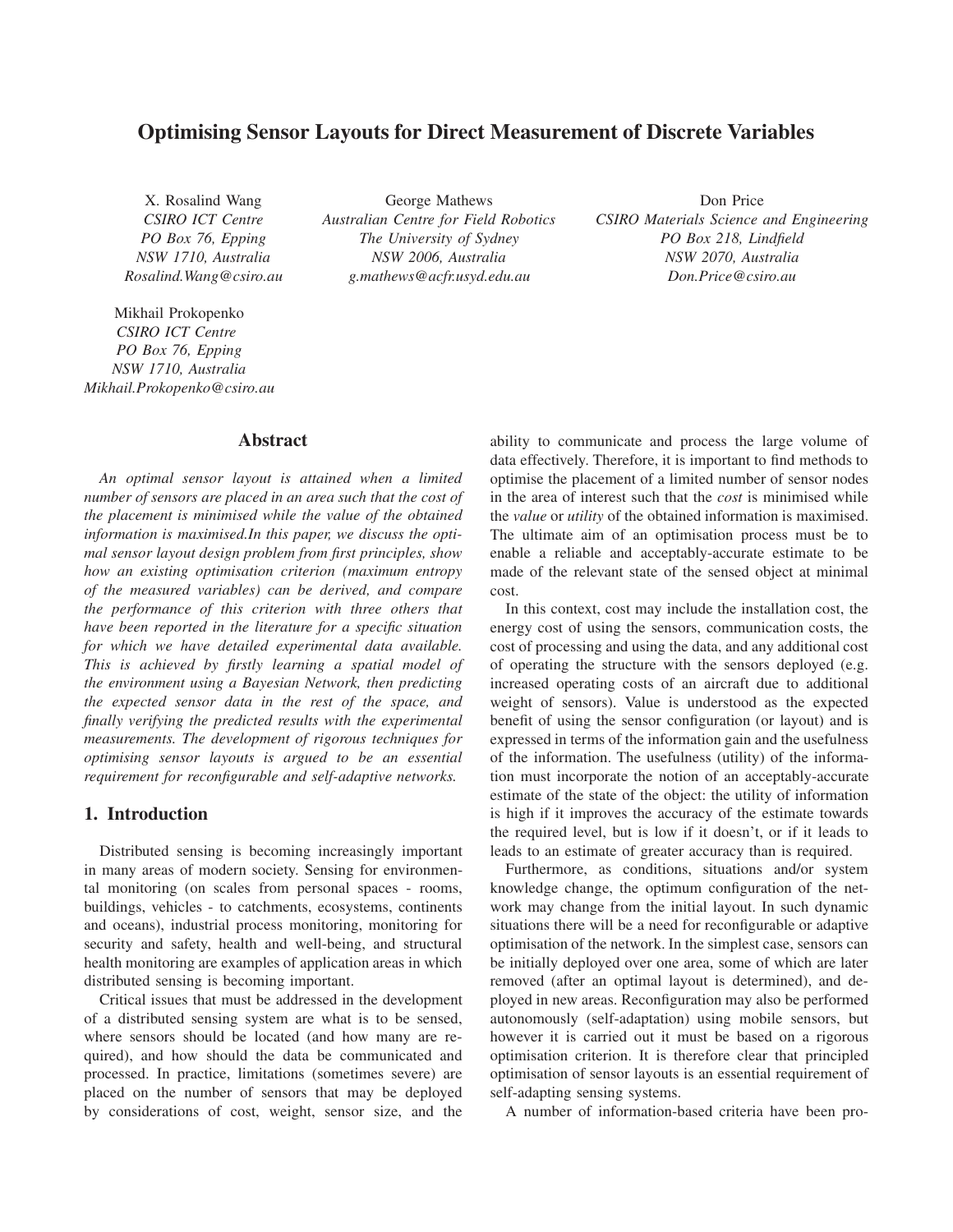# **Optimising Sensor Layouts for Direct Measurement of Discrete Variables**

X. Rosalind Wang *CSIRO ICT Centre PO Box 76, Epping NSW 1710, Australia Rosalind.Wang@csiro.au*

Mikhail Prokopenko *CSIRO ICT Centre PO Box 76, Epping NSW 1710, Australia Mikhail.Prokopenko@csiro.au*

George Mathews *Australian Centre for Field Robotics The University of Sydney NSW 2006, Australia g.mathews@acfr.usyd.edu.au*

Don Price *CSIRO Materials Science and Engineering PO Box 218, Lindfield NSW 2070, Australia Don.Price@csiro.au*

### **Abstract**

*An optimal sensor layout is attained when a limited number of sensors are placed in an area such that the cost of the placement is minimised while the value of the obtained information is maximised.In this paper, we discuss the optimal sensor layout design problem from first principles, show how an existing optimisation criterion (maximum entropy of the measured variables) can be derived, and compare the performance of this criterion with three others that have been reported in the literature for a specific situation for which we have detailed experimental data available. This is achieved by firstly learning a spatial model of the environment using a Bayesian Network, then predicting the expected sensor data in the rest of the space, and finally verifying the predicted results with the experimental measurements. The development of rigorous techniques for optimising sensor layouts is argued to be an essential requirement for reconfigurable and self-adaptive networks.*

## **1. Introduction**

Distributed sensing is becoming increasingly important in many areas of modern society. Sensing for environmental monitoring (on scales from personal spaces - rooms, buildings, vehicles - to catchments, ecosystems, continents and oceans), industrial process monitoring, monitoring for security and safety, health and well-being, and structural health monitoring are examples of application areas in which distributed sensing is becoming important.

Critical issues that must be addressed in the development of a distributed sensing system are what is to be sensed, where sensors should be located (and how many are required), and how should the data be communicated and processed. In practice, limitations (sometimes severe) are placed on the number of sensors that may be deployed by considerations of cost, weight, sensor size, and the ability to communicate and process the large volume of data effectively. Therefore, it is important to find methods to optimise the placement of a limited number of sensor nodes in the area of interest such that the *cost* is minimised while the *value* or *utility* of the obtained information is maximised. The ultimate aim of an optimisation process must be to enable a reliable and acceptably-accurate estimate to be made of the relevant state of the sensed object at minimal cost.

In this context, cost may include the installation cost, the energy cost of using the sensors, communication costs, the cost of processing and using the data, and any additional cost of operating the structure with the sensors deployed (e.g. increased operating costs of an aircraft due to additional weight of sensors). Value is understood as the expected benefit of using the sensor configuration (or layout) and is expressed in terms of the information gain and the usefulness of the information. The usefulness (utility) of the information must incorporate the notion of an acceptably-accurate estimate of the state of the object: the utility of information is high if it improves the accuracy of the estimate towards the required level, but is low if it doesn't, or if it leads to leads to an estimate of greater accuracy than is required.

Furthermore, as conditions, situations and/or system knowledge change, the optimum configuration of the network may change from the initial layout. In such dynamic situations there will be a need for reconfigurable or adaptive optimisation of the network. In the simplest case, sensors can be initially deployed over one area, some of which are later removed (after an optimal layout is determined), and deployed in new areas. Reconfiguration may also be performed autonomously (self-adaptation) using mobile sensors, but however it is carried out it must be based on a rigorous optimisation criterion. It is therefore clear that principled optimisation of sensor layouts is an essential requirement of self-adapting sensing systems.

A number of information-based criteria have been pro-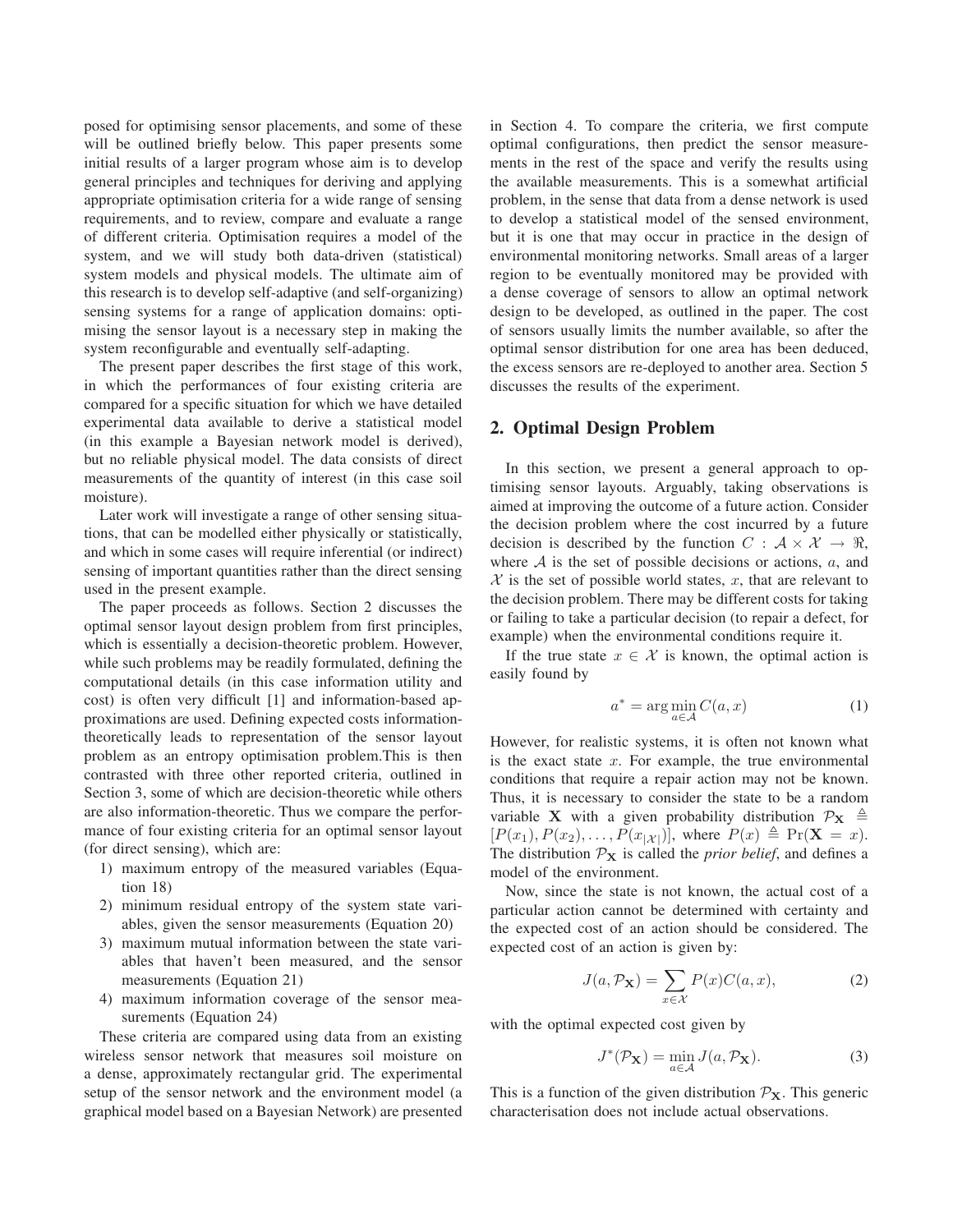posed for optimising sensor placements, and some of these will be outlined briefly below. This paper presents some initial results of a larger program whose aim is to develop general principles and techniques for deriving and applying appropriate optimisation criteria for a wide range of sensing requirements, and to review, compare and evaluate a range of different criteria. Optimisation requires a model of the system, and we will study both data-driven (statistical) system models and physical models. The ultimate aim of this research is to develop self-adaptive (and self-organizing) sensing systems for a range of application domains: optimising the sensor layout is a necessary step in making the system reconfigurable and eventually self-adapting.

The present paper describes the first stage of this work, in which the performances of four existing criteria are compared for a specific situation for which we have detailed experimental data available to derive a statistical model (in this example a Bayesian network model is derived), but no reliable physical model. The data consists of direct measurements of the quantity of interest (in this case soil moisture).

Later work will investigate a range of other sensing situations, that can be modelled either physically or statistically, and which in some cases will require inferential (or indirect) sensing of important quantities rather than the direct sensing used in the present example.

The paper proceeds as follows. Section 2 discusses the optimal sensor layout design problem from first principles, which is essentially a decision-theoretic problem. However, while such problems may be readily formulated, defining the computational details (in this case information utility and cost) is often very difficult [1] and information-based approximations are used. Defining expected costs informationtheoretically leads to representation of the sensor layout problem as an entropy optimisation problem.This is then contrasted with three other reported criteria, outlined in Section 3, some of which are decision-theoretic while others are also information-theoretic. Thus we compare the performance of four existing criteria for an optimal sensor layout (for direct sensing), which are:

- 1) maximum entropy of the measured variables (Equation 18)
- 2) minimum residual entropy of the system state variables, given the sensor measurements (Equation 20)
- 3) maximum mutual information between the state variables that haven't been measured, and the sensor measurements (Equation 21)
- 4) maximum information coverage of the sensor measurements (Equation 24)

These criteria are compared using data from an existing wireless sensor network that measures soil moisture on a dense, approximately rectangular grid. The experimental setup of the sensor network and the environment model (a graphical model based on a Bayesian Network) are presented

in Section 4. To compare the criteria, we first compute optimal configurations, then predict the sensor measurements in the rest of the space and verify the results using the available measurements. This is a somewhat artificial problem, in the sense that data from a dense network is used to develop a statistical model of the sensed environment, but it is one that may occur in practice in the design of environmental monitoring networks. Small areas of a larger region to be eventually monitored may be provided with a dense coverage of sensors to allow an optimal network design to be developed, as outlined in the paper. The cost of sensors usually limits the number available, so after the optimal sensor distribution for one area has been deduced, the excess sensors are re-deployed to another area. Section 5 discusses the results of the experiment.

## **2. Optimal Design Problem**

In this section, we present a general approach to optimising sensor layouts. Arguably, taking observations is aimed at improving the outcome of a future action. Consider the decision problem where the cost incurred by a future decision is described by the function  $C : \mathcal{A} \times \mathcal{X} \rightarrow \mathbb{R}$ , where  $A$  is the set of possible decisions or actions,  $a$ , and  $X$  is the set of possible world states,  $x$ , that are relevant to the decision problem. There may be different costs for taking or failing to take a particular decision (to repair a defect, for example) when the environmental conditions require it.

If the true state  $x \in \mathcal{X}$  is known, the optimal action is easily found by

$$
a^* = \arg\min_{a \in \mathcal{A}} C(a, x) \tag{1}
$$

However, for realistic systems, it is often not known what is the exact state  $x$ . For example, the true environmental conditions that require a repair action may not be known. Thus, it is necessary to consider the state to be a random variable **X** with a given probability distribution  $\mathcal{P}_X \triangleq$  $[P(x_1), P(x_2), \ldots, P(x_{|\mathcal{X}|})]$ , where  $P(x) \triangleq \Pr(\mathbf{X} = x)$ .<br>The distribution  $\mathcal{P}_{\mathbf{X}}$  is called the *prior helief* and defines a The distribution  $P_X$  is called the *prior belief*, and defines a model of the environment.

Now, since the state is not known, the actual cost of a particular action cannot be determined with certainty and the expected cost of an action should be considered. The expected cost of an action is given by:

$$
J(a, \mathcal{P}_X) = \sum_{x \in \mathcal{X}} P(x)C(a, x), \tag{2}
$$

with the optimal expected cost given by

$$
J^*(\mathcal{P}_X) = \min_{a \in \mathcal{A}} J(a, \mathcal{P}_X).
$$
 (3)

This is a function of the given distribution  $P_X$ . This generic characterisation does not include actual observations.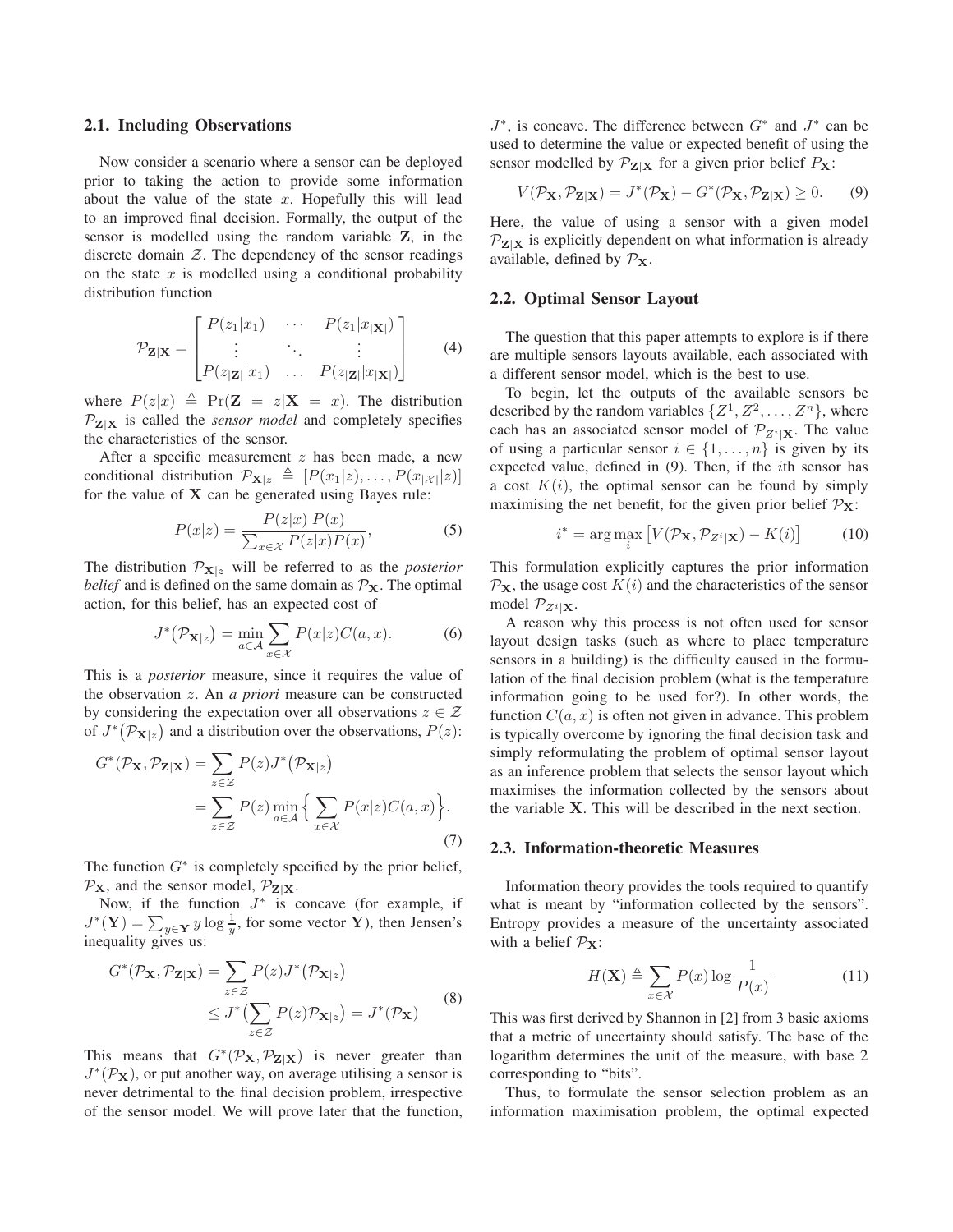### **2.1. Including Observations**

Now consider a scenario where a sensor can be deployed prior to taking the action to provide some information about the value of the state  $x$ . Hopefully this will lead to an improved final decision. Formally, the output of the sensor is modelled using the random variable **Z**, in the discrete domain  $Z$ . The dependency of the sensor readings on the state  $x$  is modelled using a conditional probability distribution function

$$
\mathcal{P}_{\mathbf{Z}|\mathbf{X}} = \begin{bmatrix} P(z_1|x_1) & \cdots & P(z_1|x_{|\mathbf{X}|}) \\ \vdots & \ddots & \vdots \\ P(z_{|\mathbf{Z}|}|x_1) & \cdots & P(z_{|\mathbf{Z}|}|x_{|\mathbf{X}|}) \end{bmatrix}
$$
(4)

where  $P(z|x) \triangleq Pr(\mathbf{Z} = z|\mathbf{X} = x)$ . The distribution  $P_{\mathbf{Z}|\mathbf{X}}$  is called the *sensor model* and completely specifies the characteristics of the sensor.

After a specific measurement  $z$  has been made, a new conditional distribution  $\mathcal{P}_{\mathbf{X}|z} \triangleq [P(x_1|z),...,P(x_{|\mathcal{X}|}|z)]$ <br>for the value of **X** can be generated using Bayes rule: for the value of **X** can be generated using Bayes rule:

$$
P(x|z) = \frac{P(z|x) P(x)}{\sum_{x \in \mathcal{X}} P(z|x)P(x)},\tag{5}
$$

The distribution  $\mathcal{P}_{\mathbf{X}|z}$  will be referred to as the *posterior belief* and is defined on the same domain as  $\mathcal{P}_X$ . The optimal action, for this belief, has an expected cost of

$$
J^{\ast}(\mathcal{P}_{\mathbf{X}|z}) = \min_{a \in \mathcal{A}} \sum_{x \in \mathcal{X}} P(x|z)C(a, x). \tag{6}
$$

This is a *posterior* measure, since it requires the value of the observation z. An *a priori* measure can be constructed by considering the expectation over all observations  $z \in \mathcal{Z}$ of  $J^*(P_{\mathbf{X}|z})$  and a distribution over the observations,  $P(z)$ :

$$
G^*(\mathcal{P}_\mathbf{X}, \mathcal{P}_{\mathbf{Z}|\mathbf{X}}) = \sum_{z \in \mathcal{Z}} P(z) J^*(\mathcal{P}_{\mathbf{X}|z})
$$
  
= 
$$
\sum_{z \in \mathcal{Z}} P(z) \min_{a \in \mathcal{A}} \left\{ \sum_{x \in \mathcal{X}} P(x|z) C(a, x) \right\}.
$$
 (7)

The function  $G^*$  is completely specified by the prior belief,  $\mathcal{P}_X$ , and the sensor model,  $\mathcal{P}_Z|_X$ .

Now, if the function  $J^*$  is concave (for example, if  $J^*(\mathbf{Y}) = \sum_{y \in \mathbf{Y}} y \log \frac{1}{y}$ , for some vector **Y**), then Jensen's inequality gives us:

$$
G^*(\mathcal{P}_\mathbf{X}, \mathcal{P}_{\mathbf{Z}|\mathbf{X}}) = \sum_{z \in \mathcal{Z}} P(z) J^*(\mathcal{P}_{\mathbf{X}|z})
$$
  
 
$$
\leq J^*(\sum_{z \in \mathcal{Z}} P(z) \mathcal{P}_{\mathbf{X}|z}) = J^*(\mathcal{P}_\mathbf{X})
$$
 (8)

This means that  $G^*(\mathcal{P}_X, \mathcal{P}_{Z|X})$  is never greater than  $J^*(P_X)$ , or put another way, on average utilising a sensor is never detrimental to the final decision problem, irrespective of the sensor model. We will prove later that the function,  $J^*$ , is concave. The difference between  $G^*$  and  $J^*$  can be used to determine the value or expected benefit of using the sensor modelled by  $\mathcal{P}_{\mathbf{Z}|\mathbf{X}}$  for a given prior belief  $P_{\mathbf{X}}$ :

$$
V(\mathcal{P}_\mathbf{X}, \mathcal{P}_{\mathbf{Z}|\mathbf{X}}) = J^*(\mathcal{P}_\mathbf{X}) - G^*(\mathcal{P}_\mathbf{X}, \mathcal{P}_{\mathbf{Z}|\mathbf{X}}) \ge 0.
$$
 (9)

Here, the value of using a sensor with a given model  $\mathcal{P}_{\mathbf{Z}|\mathbf{X}}$  is explicitly dependent on what information is already available, defined by  $\mathcal{P}_X$ .

### **2.2. Optimal Sensor Layout**

The question that this paper attempts to explore is if there are multiple sensors layouts available, each associated with a different sensor model, which is the best to use.

To begin, let the outputs of the available sensors be described by the random variables  $\{Z^1, Z^2, \ldots, Z^n\}$ , where each has an associated sensor model of  $\mathcal{P}_{Z^i|\mathbf{X}}$ . The value of using a particular sensor  $i \in \{1, \ldots, n\}$  is given by its expected value, defined in (9). Then, if the ith sensor has a cost  $K(i)$ , the optimal sensor can be found by simply maximising the net benefit, for the given prior belief  $P_X$ :

$$
i^* = \arg\max_i \left[ V(\mathcal{P}_\mathbf{X}, \mathcal{P}_{Z^i|\mathbf{X}}) - K(i) \right] \tag{10}
$$

This formulation explicitly captures the prior information  $\mathcal{P}_X$ , the usage cost  $K(i)$  and the characteristics of the sensor model  $\mathcal{P}_{Z^i|\mathbf{X}}$ .

A reason why this process is not often used for sensor layout design tasks (such as where to place temperature sensors in a building) is the difficulty caused in the formulation of the final decision problem (what is the temperature information going to be used for?). In other words, the function  $C(a, x)$  is often not given in advance. This problem is typically overcome by ignoring the final decision task and simply reformulating the problem of optimal sensor layout as an inference problem that selects the sensor layout which maximises the information collected by the sensors about the variable **X**. This will be described in the next section.

#### **2.3. Information-theoretic Measures**

Information theory provides the tools required to quantify what is meant by "information collected by the sensors". Entropy provides a measure of the uncertainty associated with a belief P**X**:

$$
H(\mathbf{X}) \triangleq \sum_{x \in \mathcal{X}} P(x) \log \frac{1}{P(x)}\tag{11}
$$

This was first derived by Shannon in [2] from 3 basic axioms that a metric of uncertainty should satisfy. The base of the logarithm determines the unit of the measure, with base 2 corresponding to "bits".

Thus, to formulate the sensor selection problem as an information maximisation problem, the optimal expected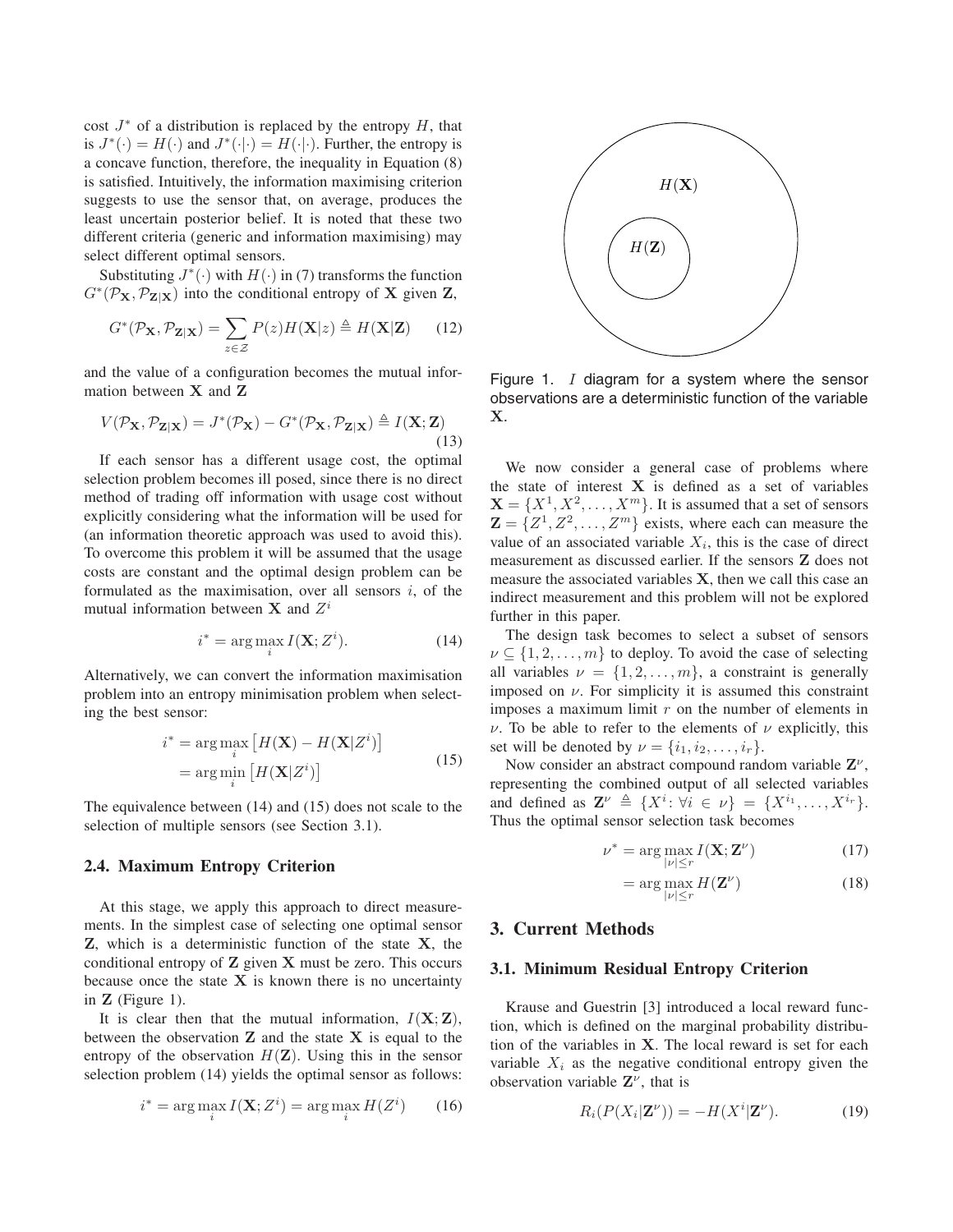cost  $J^*$  of a distribution is replaced by the entropy  $H$ , that is  $J^*(\cdot) = H(\cdot)$  and  $J^*(\cdot|\cdot) = H(\cdot|\cdot)$ . Further, the entropy is a concave function, therefore, the inequality in Equation (8) is satisfied. Intuitively, the information maximising criterion suggests to use the sensor that, on average, produces the least uncertain posterior belief. It is noted that these two different criteria (generic and information maximising) may select different optimal sensors.

Substituting  $J^*(\cdot)$  with  $H(\cdot)$  in (7) transforms the function  $G^*(P_\mathbf{X}, P_{\mathbf{Z}|\mathbf{X}})$  into the conditional entropy of **X** given **Z**,

$$
G^{\ast}(\mathcal{P}_{\mathbf{X}}, \mathcal{P}_{\mathbf{Z}|\mathbf{X}}) = \sum_{z \in \mathcal{Z}} P(z) H(\mathbf{X}|z) \triangleq H(\mathbf{X}|\mathbf{Z}) \qquad (12)
$$

and the value of a configuration becomes the mutual information between **X** and **Z**

$$
V(\mathcal{P}_\mathbf{X}, \mathcal{P}_{\mathbf{Z}|\mathbf{X}}) = J^*(\mathcal{P}_\mathbf{X}) - G^*(\mathcal{P}_\mathbf{X}, \mathcal{P}_{\mathbf{Z}|\mathbf{X}}) \triangleq I(\mathbf{X}; \mathbf{Z})
$$
\n(13)

If each sensor has a different usage cost, the optimal selection problem becomes ill posed, since there is no direct method of trading off information with usage cost without explicitly considering what the information will be used for (an information theoretic approach was used to avoid this). To overcome this problem it will be assumed that the usage costs are constant and the optimal design problem can be formulated as the maximisation, over all sensors  $i$ , of the mutual information between **X** and  $Z^i$ 

$$
i^* = \arg\max_i I(\mathbf{X}; Z^i). \tag{14}
$$

Alternatively, we can convert the information maximisation problem into an entropy minimisation problem when selecting the best sensor:

$$
i^* = \underset{i}{\arg\max} \left[ H(\mathbf{X}) - H(\mathbf{X}|Z^i) \right]
$$

$$
= \underset{i}{\arg\min} \left[ H(\mathbf{X}|Z^i) \right]
$$
(15)

The equivalence between (14) and (15) does not scale to the selection of multiple sensors (see Section 3.1).

### **2.4. Maximum Entropy Criterion**

At this stage, we apply this approach to direct measurements. In the simplest case of selecting one optimal sensor **Z**, which is a deterministic function of the state **X**, the conditional entropy of **Z** given **X** must be zero. This occurs because once the state  $X$  is known there is no uncertainty in **Z** (Figure 1).

It is clear then that the mutual information,  $I(\mathbf{X}; \mathbf{Z})$ , between the observation **Z** and the state **X** is equal to the entropy of the observation  $H(\mathbf{Z})$ . Using this in the sensor selection problem (14) yields the optimal sensor as follows:

$$
i^* = \arg\max_i I(\mathbf{X}; Z^i) = \arg\max_i H(Z^i) \qquad (16)
$$



Figure 1. I diagram for a system where the sensor observations are a deterministic function of the variable **X**.

We now consider a general case of problems where the state of interest **X** is defined as a set of variables  $\mathbf{X} = \{X^1, X^2, \dots, X^m\}$ . It is assumed that a set of sensors  $\mathbf{Z} = \{Z^1, Z^2, \dots, Z^m\}$  exists, where each can measure the value of an associated variable  $X_i$ , this is the case of direct measurement as discussed earlier. If the sensors **Z** does not measure the associated variables **X**, then we call this case an indirect measurement and this problem will not be explored further in this paper.

The design task becomes to select a subset of sensors  $\nu \subseteq \{1, 2, \ldots, m\}$  to deploy. To avoid the case of selecting all variables  $\nu = \{1, 2, ..., m\}$ , a constraint is generally imposed on  $\nu$ . For simplicity it is assumed this constraint imposes a maximum limit  $r$  on the number of elements in  $\nu$ . To be able to refer to the elements of  $\nu$  explicitly, this set will be denoted by  $\nu = \{i_1, i_2, \ldots, i_r\}.$ 

Now consider an abstract compound random variable **Z**<sup>ν</sup>, representing the combined output of all selected variables and defined as  $\mathbf{Z}^{\nu} \triangleq \{X^i : \forall i \in \nu\} = \{X^{i_1}, \dots, X^{i_r}\}.$ <br>Thus the optimal sensor selection task becomes Thus the optimal sensor selection task becomes

$$
\nu^* = \arg \max_{|\nu| \le r} I(\mathbf{X}; \mathbf{Z}^{\nu})
$$
 (17)

$$
= \arg \max_{|\nu| \le r} H(\mathbf{Z}^{\nu})
$$
\n(18)

## **3. Current Methods**

### **3.1. Minimum Residual Entropy Criterion**

Krause and Guestrin [3] introduced a local reward function, which is defined on the marginal probability distribution of the variables in **X**. The local reward is set for each variable  $X_i$  as the negative conditional entropy given the observation variable **Z**<sup>ν</sup>, that is

$$
R_i(P(X_i|\mathbf{Z}^{\nu})) = -H(X^i|\mathbf{Z}^{\nu}).
$$
\n(19)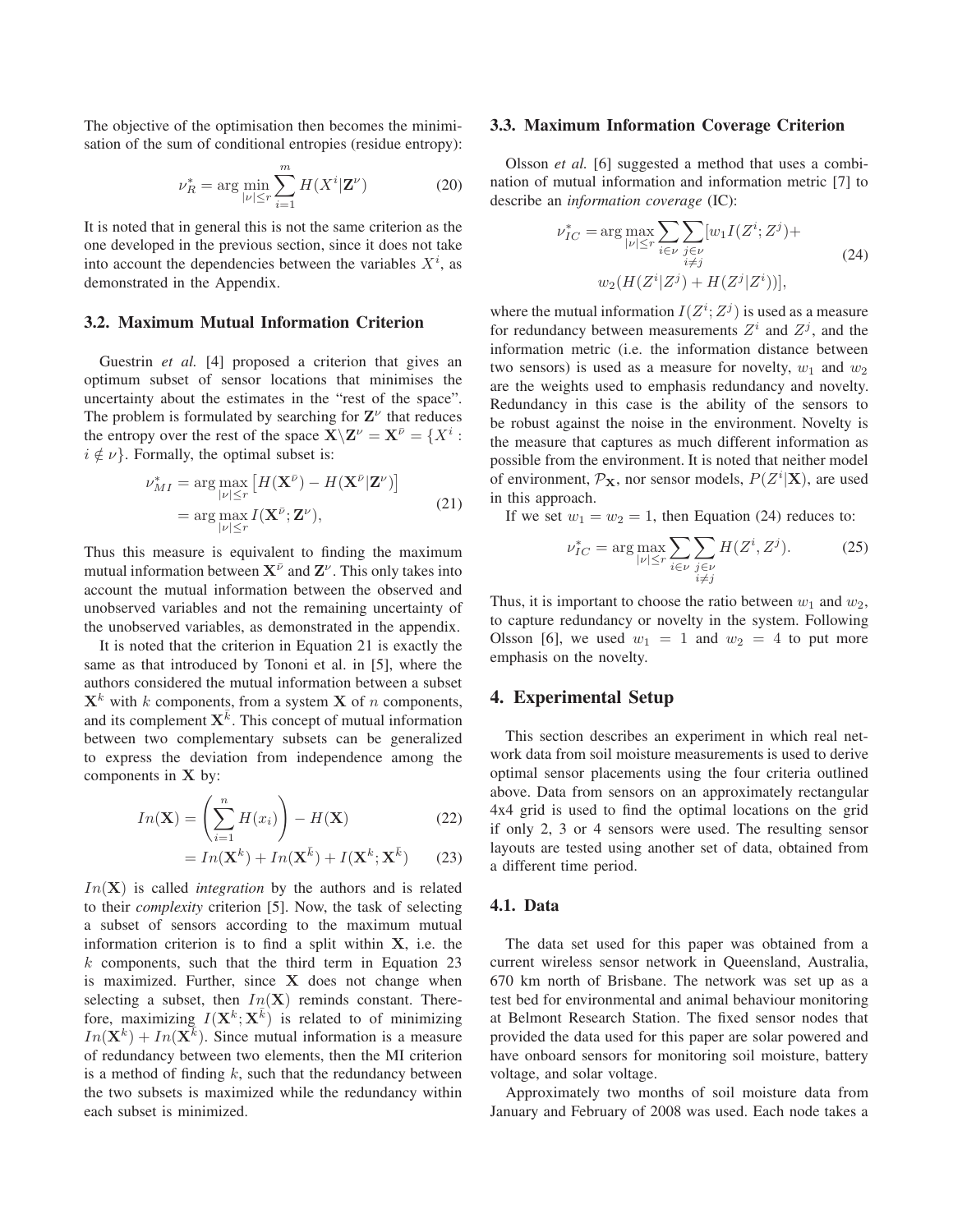The objective of the optimisation then becomes the minimisation of the sum of conditional entropies (residue entropy):

$$
\nu_R^* = \arg\min_{|\nu| \le r} \sum_{i=1}^m H(X^i | \mathbf{Z}^\nu)
$$
 (20)

It is noted that in general this is not the same criterion as the one developed in the previous section, since it does not take into account the dependencies between the variables  $X^i$ , as demonstrated in the Appendix.

### **3.2. Maximum Mutual Information Criterion**

Guestrin *et al.* [4] proposed a criterion that gives an optimum subset of sensor locations that minimises the uncertainty about the estimates in the "rest of the space". The problem is formulated by searching for  $\mathbf{Z}^{\nu}$  that reduces the entropy over the rest of the space  $\mathbf{X} \setminus \mathbf{Z}^{\nu} = \mathbf{X}^{\bar{\nu}} = \{X^i :$  $i \notin \nu$ . Formally, the optimal subset is:

$$
\nu_{MI}^* = \arg \max_{|\nu| \le r} \left[ H(\mathbf{X}^{\bar{\nu}}) - H(\mathbf{X}^{\bar{\nu}} | \mathbf{Z}^{\nu}) \right]
$$
  
= 
$$
\arg \max_{|\nu| \le r} I(\mathbf{X}^{\bar{\nu}}; \mathbf{Z}^{\nu}),
$$
 (21)

Thus this measure is equivalent to finding the maximum mutual information between  $X^{\overline{\nu}}$  and  $Z^{\nu}$ . This only takes into account the mutual information between the observed and unobserved variables and not the remaining uncertainty of the unobserved variables, as demonstrated in the appendix.

It is noted that the criterion in Equation 21 is exactly the same as that introduced by Tononi et al. in [5], where the authors considered the mutual information between a subset  $X^k$  with k components, from a system X of n components, and its complement  $X^{\overline{k}}$ . This concept of mutual information between two complementary subsets can be generalized to express the deviation from independence among the components in **X** by:

$$
In(\mathbf{X}) = \left(\sum_{i=1}^{n} H(x_i)\right) - H(\mathbf{X})
$$
\n(22)

$$
= In(\mathbf{X}^k) + In(\mathbf{X}^{\bar{k}}) + I(\mathbf{X}^k; \mathbf{X}^{\bar{k}})
$$
 (23)

 $In(X)$  is called *integration* by the authors and is related to their *complexity* criterion [5]. Now, the task of selecting a subset of sensors according to the maximum mutual information criterion is to find a split within **X**, i.e. the  $k$  components, such that the third term in Equation 23 is maximized. Further, since **X** does not change when selecting a subset, then  $In(X)$  reminds constant. Therefore, maximizing  $I(X^k; \mathbf{X}^{\bar{k}})$  is related to of minimizing  $I_n(\mathbf{X}^k) + I_n(\mathbf{X}^{\bar{k}})$ . Since mutual information is a measure  $In(\mathbf{X}^k) + In(\mathbf{X}^k)$ . Since mutual information is a measure of redundancy between two elements, then the MI criterion of redundancy between two elements, then the MI criterion is a method of finding  $k$ , such that the redundancy between the two subsets is maximized while the redundancy within each subset is minimized.

#### **3.3. Maximum Information Coverage Criterion**

Olsson *et al.* [6] suggested a method that uses a combination of mutual information and information metric [7] to describe an *information coverage* (IC):

$$
\nu_{IC}^* = \arg \max_{|\nu| \le r} \sum_{i \in \nu} \sum_{\substack{j \in \nu \\ i \ne j}} [w_1 I(Z^i; Z^j) +
$$
  

$$
w_2 (H(Z^i | Z^j) + H(Z^j | Z^i))],
$$
 (24)

where the mutual information  $I(Z^i; Z^j)$  is used as a measure<br>for redundancy between measurements  $Z^i$  and  $Z^j$  and the for redundancy between measurements  $Z^i$  and  $Z^j$ , and the information metric (i.e. the information distance between two sensors) is used as a measure for novelty,  $w_1$  and  $w_2$ are the weights used to emphasis redundancy and novelty. Redundancy in this case is the ability of the sensors to be robust against the noise in the environment. Novelty is the measure that captures as much different information as possible from the environment. It is noted that neither model of environment,  $\mathcal{P}_X$ , nor sensor models,  $P(Z^i|\mathbf{X})$ , are used<br>in this approach in this approach.

If we set  $w_1 = w_2 = 1$ , then Equation (24) reduces to:

$$
\nu_{IC}^* = \arg \max_{|\nu| \le r} \sum_{\substack{i \in \nu \\ i \ne j}} \sum_{\substack{j \in \nu \\ j \ne j}} H(Z^i, Z^j). \tag{25}
$$

Thus, it is important to choose the ratio between  $w_1$  and  $w_2$ , to capture redundancy or novelty in the system. Following Olsson [6], we used  $w_1 = 1$  and  $w_2 = 4$  to put more emphasis on the novelty.

### **4. Experimental Setup**

This section describes an experiment in which real network data from soil moisture measurements is used to derive optimal sensor placements using the four criteria outlined above. Data from sensors on an approximately rectangular 4x4 grid is used to find the optimal locations on the grid if only 2, 3 or 4 sensors were used. The resulting sensor layouts are tested using another set of data, obtained from a different time period.

## **4.1. Data**

The data set used for this paper was obtained from a current wireless sensor network in Queensland, Australia, 670 km north of Brisbane. The network was set up as a test bed for environmental and animal behaviour monitoring at Belmont Research Station. The fixed sensor nodes that provided the data used for this paper are solar powered and have onboard sensors for monitoring soil moisture, battery voltage, and solar voltage.

Approximately two months of soil moisture data from January and February of 2008 was used. Each node takes a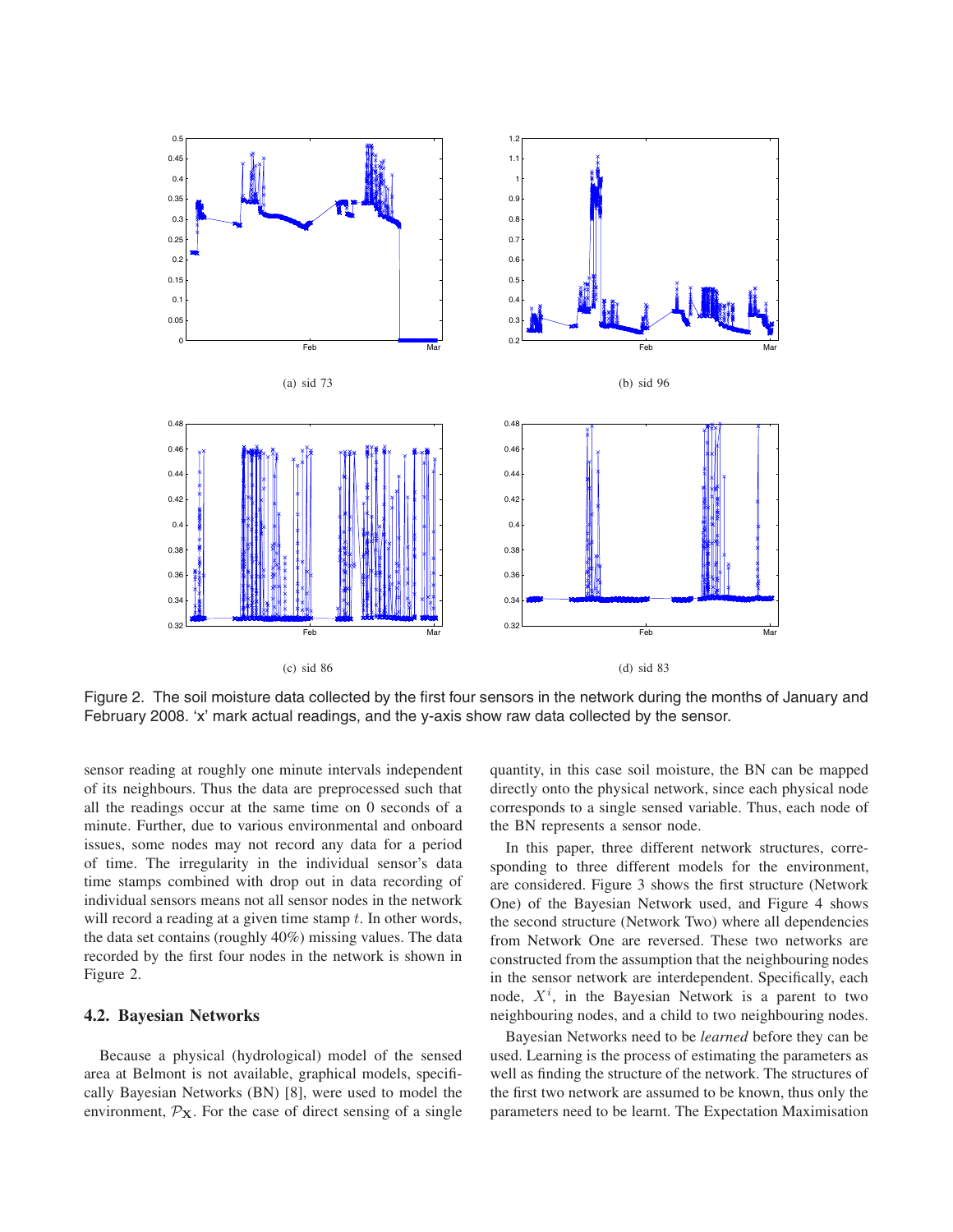

Figure 2. The soil moisture data collected by the first four sensors in the network during the months of January and February 2008. 'x' mark actual readings, and the y-axis show raw data collected by the sensor.

sensor reading at roughly one minute intervals independent of its neighbours. Thus the data are preprocessed such that all the readings occur at the same time on 0 seconds of a minute. Further, due to various environmental and onboard issues, some nodes may not record any data for a period of time. The irregularity in the individual sensor's data time stamps combined with drop out in data recording of individual sensors means not all sensor nodes in the network will record a reading at a given time stamp  $t$ . In other words, the data set contains (roughly 40%) missing values. The data recorded by the first four nodes in the network is shown in Figure 2.

### **4.2. Bayesian Networks**

Because a physical (hydrological) model of the sensed area at Belmont is not available, graphical models, specifically Bayesian Networks (BN) [8], were used to model the environment,  $P_X$ . For the case of direct sensing of a single quantity, in this case soil moisture, the BN can be mapped directly onto the physical network, since each physical node corresponds to a single sensed variable. Thus, each node of the BN represents a sensor node.

In this paper, three different network structures, corresponding to three different models for the environment, are considered. Figure 3 shows the first structure (Network One) of the Bayesian Network used, and Figure 4 shows the second structure (Network Two) where all dependencies from Network One are reversed. These two networks are constructed from the assumption that the neighbouring nodes in the sensor network are interdependent. Specifically, each node,  $X^i$ , in the Bayesian Network is a parent to two neighbouring nodes, and a child to two neighbouring nodes.

Bayesian Networks need to be *learned* before they can be used. Learning is the process of estimating the parameters as well as finding the structure of the network. The structures of the first two network are assumed to be known, thus only the parameters need to be learnt. The Expectation Maximisation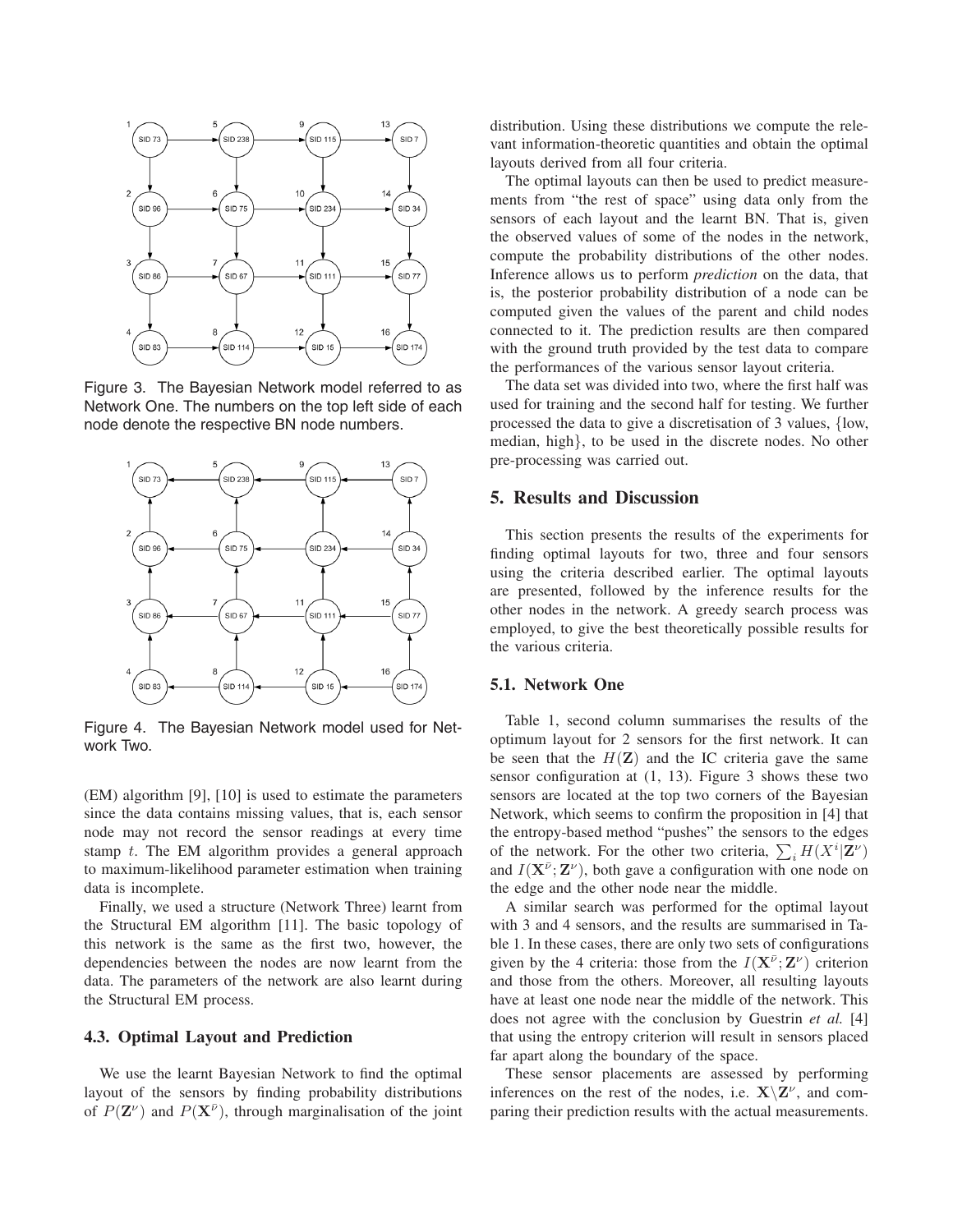

Figure 3. The Bayesian Network model referred to as Network One. The numbers on the top left side of each node denote the respective BN node numbers.



Figure 4. The Bayesian Network model used for Network Two.

(EM) algorithm [9], [10] is used to estimate the parameters since the data contains missing values, that is, each sensor node may not record the sensor readings at every time stamp  $t$ . The EM algorithm provides a general approach to maximum-likelihood parameter estimation when training data is incomplete.

Finally, we used a structure (Network Three) learnt from the Structural EM algorithm [11]. The basic topology of this network is the same as the first two, however, the dependencies between the nodes are now learnt from the data. The parameters of the network are also learnt during the Structural EM process.

### **4.3. Optimal Layout and Prediction**

We use the learnt Bayesian Network to find the optimal layout of the sensors by finding probability distributions of  $P(\mathbf{Z}^{\nu})$  and  $P(\mathbf{X}^{\bar{\nu}})$ , through marginalisation of the joint distribution. Using these distributions we compute the relevant information-theoretic quantities and obtain the optimal layouts derived from all four criteria.

The optimal layouts can then be used to predict measurements from "the rest of space" using data only from the sensors of each layout and the learnt BN. That is, given the observed values of some of the nodes in the network, compute the probability distributions of the other nodes. Inference allows us to perform *prediction* on the data, that is, the posterior probability distribution of a node can be computed given the values of the parent and child nodes connected to it. The prediction results are then compared with the ground truth provided by the test data to compare the performances of the various sensor layout criteria.

The data set was divided into two, where the first half was used for training and the second half for testing. We further processed the data to give a discretisation of 3 values, {low, median, high}, to be used in the discrete nodes. No other pre-processing was carried out.

## **5. Results and Discussion**

This section presents the results of the experiments for finding optimal layouts for two, three and four sensors using the criteria described earlier. The optimal layouts are presented, followed by the inference results for the other nodes in the network. A greedy search process was employed, to give the best theoretically possible results for the various criteria.

### **5.1. Network One**

Table 1, second column summarises the results of the optimum layout for 2 sensors for the first network. It can be seen that the  $H(\mathbf{Z})$  and the IC criteria gave the same sensor configuration at (1, 13). Figure 3 shows these two sensors are located at the top two corners of the Bayesian Network, which seems to confirm the proposition in [4] that the entropy-based method "pushes" the sensors to the edges of the network. For the other two criteria,  $\sum_i H(X^i | \mathbf{Z}^{\nu})$ <br>and  $I(\mathbf{X}^{\bar{\nu}} \cdot \mathbf{Z}^{\nu})$  both gave a configuration with one node on and  $I(X^{\overline{\nu}}; Z^{\nu})$ , both gave a configuration with one node on the edge and the other node near the middle.

A similar search was performed for the optimal layout with 3 and 4 sensors, and the results are summarised in Table 1. In these cases, there are only two sets of configurations given by the 4 criteria: those from the  $I(\mathbf{X}^{\bar{\nu}};\mathbf{Z}^{\nu})$  criterion and those from the others. Moreover, all resulting layouts have at least one node near the middle of the network. This does not agree with the conclusion by Guestrin *et al.* [4] that using the entropy criterion will result in sensors placed far apart along the boundary of the space.

These sensor placements are assessed by performing inferences on the rest of the nodes, i.e.  $\mathbf{X}\setminus\mathbf{Z}^{\nu}$ , and comparing their prediction results with the actual measurements.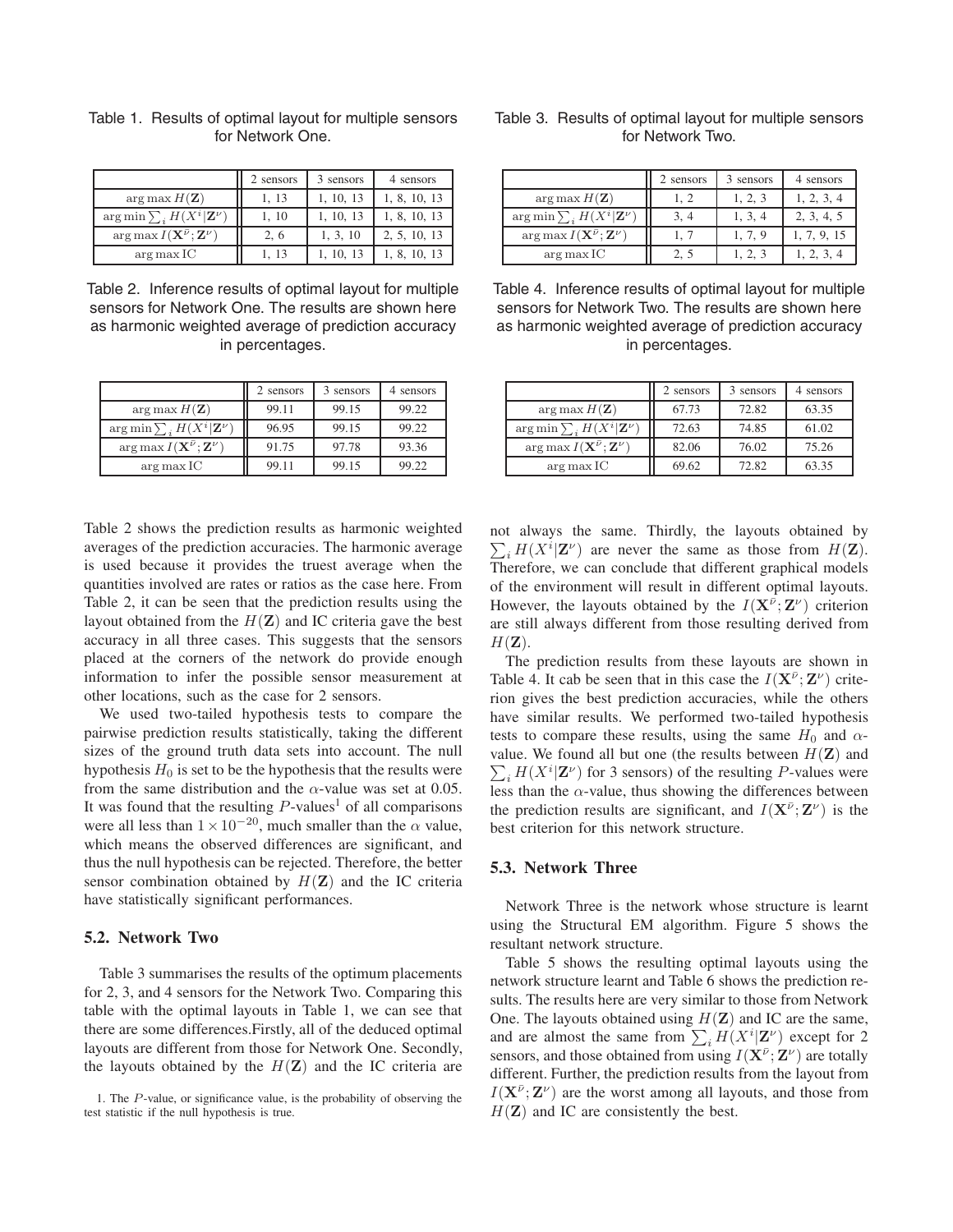|                                                        | 2 sensors | 3 sensors | 4 sensors    |
|--------------------------------------------------------|-----------|-----------|--------------|
| $arg max H(\mathbf{Z})$                                | 1, 13     | 1, 10, 13 | 1, 8, 10, 13 |
| $\arg \min \sum_i H(X^i   \mathbf{Z}^{\nu})$           | 1, 10     | 1, 10, 13 | 1, 8, 10, 13 |
| $\arg \max I(\mathbf{X}^{\bar{\nu}};\mathbf{Z}^{\nu})$ | 2, 6      | 1, 3, 10  | 2, 5, 10, 13 |
| arg max IC                                             | 1.13      | 1, 10, 13 | 1, 8, 10, 13 |

Table 1. Results of optimal layout for multiple sensors for Network One.

Table 2. Inference results of optimal layout for multiple sensors for Network One. The results are shown here as harmonic weighted average of prediction accuracy in percentages.

|                                                        | 2 sensors | 3 sensors | 4 sensors |
|--------------------------------------------------------|-----------|-----------|-----------|
| $arg max H(\mathbf{Z})$                                | 99.11     | 99.15     | 99.22     |
| arg min $\sum_i H(X^i \mathbf{Z}^{\nu})$               | 96.95     | 99.15     | 99.22     |
| $\arg \max I(\mathbf{X}^{\bar{\nu}};\mathbf{Z}^{\nu})$ | 91.75     | 97.78     | 93.36     |
| arg max IC                                             | 99.11     | 99.15     | 99.22     |

Table 2 shows the prediction results as harmonic weighted averages of the prediction accuracies. The harmonic average is used because it provides the truest average when the quantities involved are rates or ratios as the case here. From Table 2, it can be seen that the prediction results using the layout obtained from the  $H(\mathbf{Z})$  and IC criteria gave the best accuracy in all three cases. This suggests that the sensors placed at the corners of the network do provide enough information to infer the possible sensor measurement at other locations, such as the case for 2 sensors.

We used two-tailed hypothesis tests to compare the pairwise prediction results statistically, taking the different sizes of the ground truth data sets into account. The null hypothesis  $H_0$  is set to be the hypothesis that the results were from the same distribution and the  $\alpha$ -value was set at 0.05. It was found that the resulting  $P$ -values<sup>1</sup> of all comparisons were all less than  $1 \times 10^{-20}$ , much smaller than the  $\alpha$  value, which means the observed differences are significant, and thus the null hypothesis can be rejected. Therefore, the better sensor combination obtained by  $H(\mathbf{Z})$  and the IC criteria have statistically significant performances.

### **5.2. Network Two**

Table 3 summarises the results of the optimum placements for 2, 3, and 4 sensors for the Network Two. Comparing this table with the optimal layouts in Table 1, we can see that there are some differences.Firstly, all of the deduced optimal layouts are different from those for Network One. Secondly, the layouts obtained by the  $H(\mathbf{Z})$  and the IC criteria are

1. The *P*-value, or significance value, is the probability of observing the test statistic if the null hypothesis is true.

| Table 3. Results of optimal layout for multiple sensors |
|---------------------------------------------------------|
| for Network Two.                                        |

|                                                        | 2 sensors | 3 sensors | 4 sensors   |
|--------------------------------------------------------|-----------|-----------|-------------|
| $arg max H(\mathbf{Z})$                                | 1. 2      | 1, 2, 3   | 1, 2, 3, 4  |
| $\arg \min \sum_i H(X^i   \mathbf{Z}^{\nu})$           | 3, 4      | 1, 3, 4   | 2, 3, 4, 5  |
| $\arg \max I(\mathbf{X}^{\bar{\nu}};\mathbf{Z}^{\nu})$ | 1. 7      | 1, 7, 9   | 1, 7, 9, 15 |
| arg max IC                                             | 2, 5      | 1, 2, 3   | 1, 2, 3, 4  |

Table 4. Inference results of optimal layout for multiple sensors for Network Two. The results are shown here as harmonic weighted average of prediction accuracy in percentages.

|                                                        | 2 sensors | 3 sensors | 4 sensors |
|--------------------------------------------------------|-----------|-----------|-----------|
| arg max H(Z)                                           | 67.73     | 72.82     | 63.35     |
| arg min $\sum_i H(X^i \mathbf{Z}^{\nu})$               | 72.63     | 74.85     | 61.02     |
| $\arg \max I(\mathbf{X}^{\bar{\nu}};\mathbf{Z}^{\nu})$ | 82.06     | 76.02     | 75.26     |
| arg max IC                                             | 69.62     | 72.82     | 63.35     |

not always the same. Thirdly, the layouts obtained by  $\sum_i H(X^i | \mathbf{Z}^{\nu})$  are never the same as those from  $H(\mathbf{Z})$ .<br>Therefore, we can conclude that different graphical models Therefore, we can conclude that different graphical models of the environment will result in different optimal layouts. However, the layouts obtained by the  $I(X^{\bar{\nu}}; Z^{\nu})$  criterion are still always different from those resulting derived from  $H(\mathbf{Z}).$ 

The prediction results from these layouts are shown in Table 4. It cab be seen that in this case the  $I(X^{\bar{\nu}}; Z^{\nu})$  criterion gives the best prediction accuracies, while the others have similar results. We performed two-tailed hypothesis tests to compare these results, using the same  $H_0$  and  $\alpha$ - $\sum_i H(X^i | \mathbf{Z}^{\nu})$  for 3 sensors) of the resulting *P*-values were value. We found all but one (the results between  $H(\mathbf{Z})$  and less than the  $\alpha$ -value, thus showing the differences between the prediction results are significant, and  $I(X^{\bar{\nu}}; Z^{\nu})$  is the best criterion for this network structure.

## **5.3. Network Three**

Network Three is the network whose structure is learnt using the Structural EM algorithm. Figure 5 shows the resultant network structure.

Table 5 shows the resulting optimal layouts using the network structure learnt and Table 6 shows the prediction results. The results here are very similar to those from Network One. The layouts obtained using  $H(\mathbf{Z})$  and IC are the same, and are almost the same from  $\sum_i H(X^i | \mathbf{Z}^{\nu})$  except for 2<br>sensors, and those obtained from using  $I(\mathbf{X}^{\bar{\nu}} \cdot \mathbf{Z}^{\nu})$  are totally sensors, and those obtained from using  $I(X^{\bar{\nu}}; Z^{\nu})$  are totally different. Further, the prediction results from the layout from  $I(X^{\bar{\nu}}; Z^{\nu})$  are the worst among all layouts, and those from  $H(\mathbf{Z})$  and IC are consistently the best.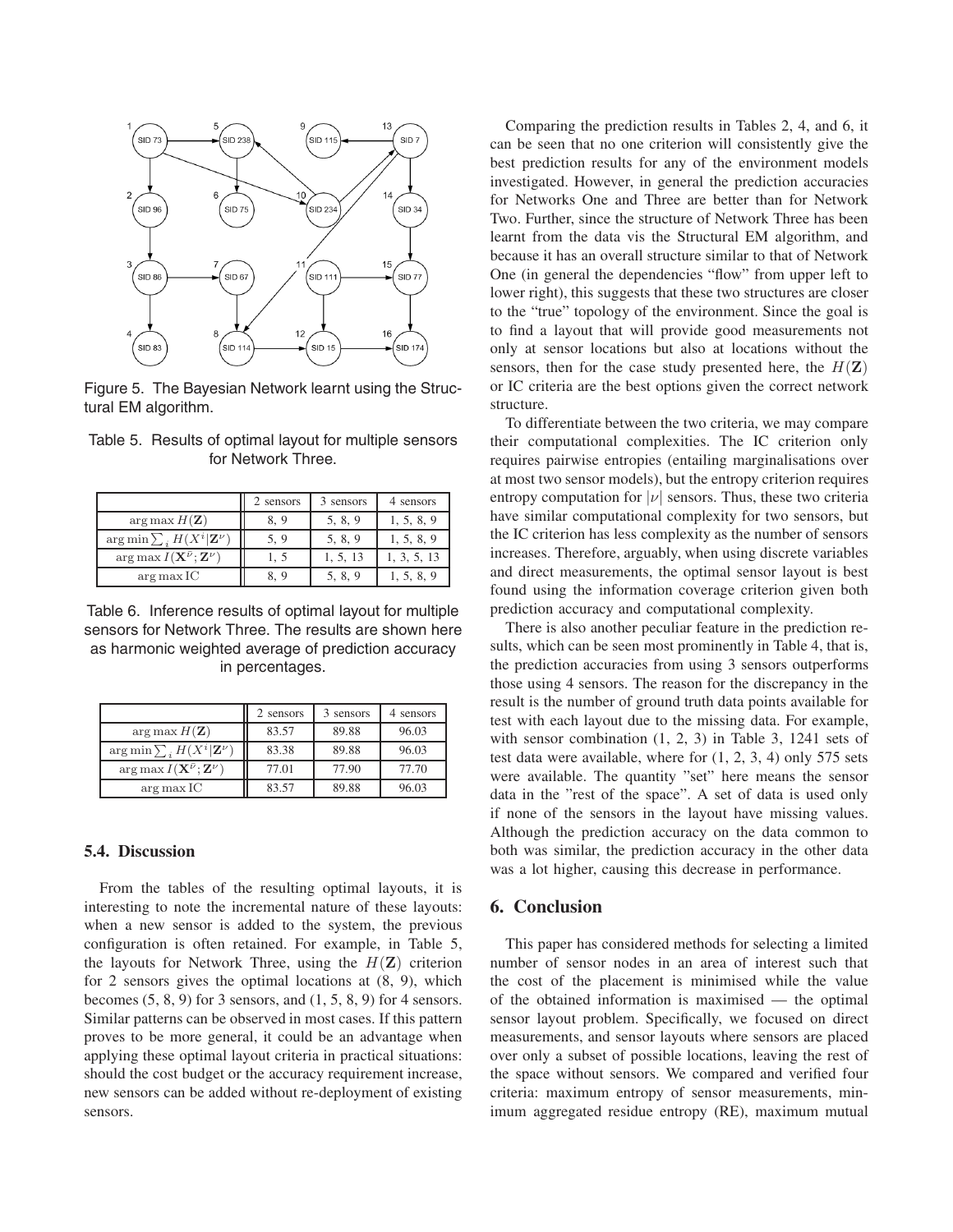

Figure 5. The Bayesian Network learnt using the Structural EM algorithm.

| Table 5. Results of optimal layout for multiple sensors |
|---------------------------------------------------------|
| for Network Three.                                      |

| $arg max H(\mathbf{Z})$                              | 8, 9 | 5, 8, 9  | 1, 5, 8, 9  |
|------------------------------------------------------|------|----------|-------------|
|                                                      |      |          |             |
| $\arg \min \sum_i H(X^i   \mathbf{Z}^{\nu})$         | 5, 9 | 5, 8, 9  | 1, 5, 8, 9  |
| arg max $I(\mathbf{X}^{\bar{\nu}};\mathbf{Z}^{\nu})$ | 1, 5 | 1, 5, 13 | 1, 3, 5, 13 |
| arg max IC                                           | 8, 9 | 5, 8, 9  | 1, 5, 8, 9  |

Table 6. Inference results of optimal layout for multiple sensors for Network Three. The results are shown here as harmonic weighted average of prediction accuracy in percentages.

|                                                        | 2 sensors | 3 sensors | 4 sensors |
|--------------------------------------------------------|-----------|-----------|-----------|
| $arg max H(\mathbf{Z})$                                | 83.57     | 89.88     | 96.03     |
| $\arg \min \sum_i H(X^i   \mathbf{Z}^{\nu})$           | 83.38     | 89.88     | 96.03     |
| $\arg \max I(\mathbf{X}^{\bar{\nu}};\mathbf{Z}^{\nu})$ | 77.01     | 77.90     | 77.70     |
| arg max IC                                             | 83.57     | 89.88     | 96.03     |

## **5.4. Discussion**

From the tables of the resulting optimal layouts, it is interesting to note the incremental nature of these layouts: when a new sensor is added to the system, the previous configuration is often retained. For example, in Table 5, the layouts for Network Three, using the  $H(\mathbf{Z})$  criterion for 2 sensors gives the optimal locations at (8, 9), which becomes  $(5, 8, 9)$  for 3 sensors, and  $(1, 5, 8, 9)$  for 4 sensors. Similar patterns can be observed in most cases. If this pattern proves to be more general, it could be an advantage when applying these optimal layout criteria in practical situations: should the cost budget or the accuracy requirement increase, new sensors can be added without re-deployment of existing sensors.

Comparing the prediction results in Tables 2, 4, and 6, it can be seen that no one criterion will consistently give the best prediction results for any of the environment models investigated. However, in general the prediction accuracies for Networks One and Three are better than for Network Two. Further, since the structure of Network Three has been learnt from the data vis the Structural EM algorithm, and because it has an overall structure similar to that of Network One (in general the dependencies "flow" from upper left to lower right), this suggests that these two structures are closer to the "true" topology of the environment. Since the goal is to find a layout that will provide good measurements not only at sensor locations but also at locations without the sensors, then for the case study presented here, the  $H(\mathbf{Z})$ or IC criteria are the best options given the correct network structure.

To differentiate between the two criteria, we may compare their computational complexities. The IC criterion only requires pairwise entropies (entailing marginalisations over at most two sensor models), but the entropy criterion requires entropy computation for  $|\nu|$  sensors. Thus, these two criteria have similar computational complexity for two sensors, but the IC criterion has less complexity as the number of sensors increases. Therefore, arguably, when using discrete variables and direct measurements, the optimal sensor layout is best found using the information coverage criterion given both prediction accuracy and computational complexity.

There is also another peculiar feature in the prediction results, which can be seen most prominently in Table 4, that is, the prediction accuracies from using 3 sensors outperforms those using 4 sensors. The reason for the discrepancy in the result is the number of ground truth data points available for test with each layout due to the missing data. For example, with sensor combination (1, 2, 3) in Table 3, 1241 sets of test data were available, where for (1, 2, 3, 4) only 575 sets were available. The quantity "set" here means the sensor data in the "rest of the space". A set of data is used only if none of the sensors in the layout have missing values. Although the prediction accuracy on the data common to both was similar, the prediction accuracy in the other data was a lot higher, causing this decrease in performance.

## **6. Conclusion**

This paper has considered methods for selecting a limited number of sensor nodes in an area of interest such that the cost of the placement is minimised while the value of the obtained information is maximised — the optimal sensor layout problem. Specifically, we focused on direct measurements, and sensor layouts where sensors are placed over only a subset of possible locations, leaving the rest of the space without sensors. We compared and verified four criteria: maximum entropy of sensor measurements, minimum aggregated residue entropy (RE), maximum mutual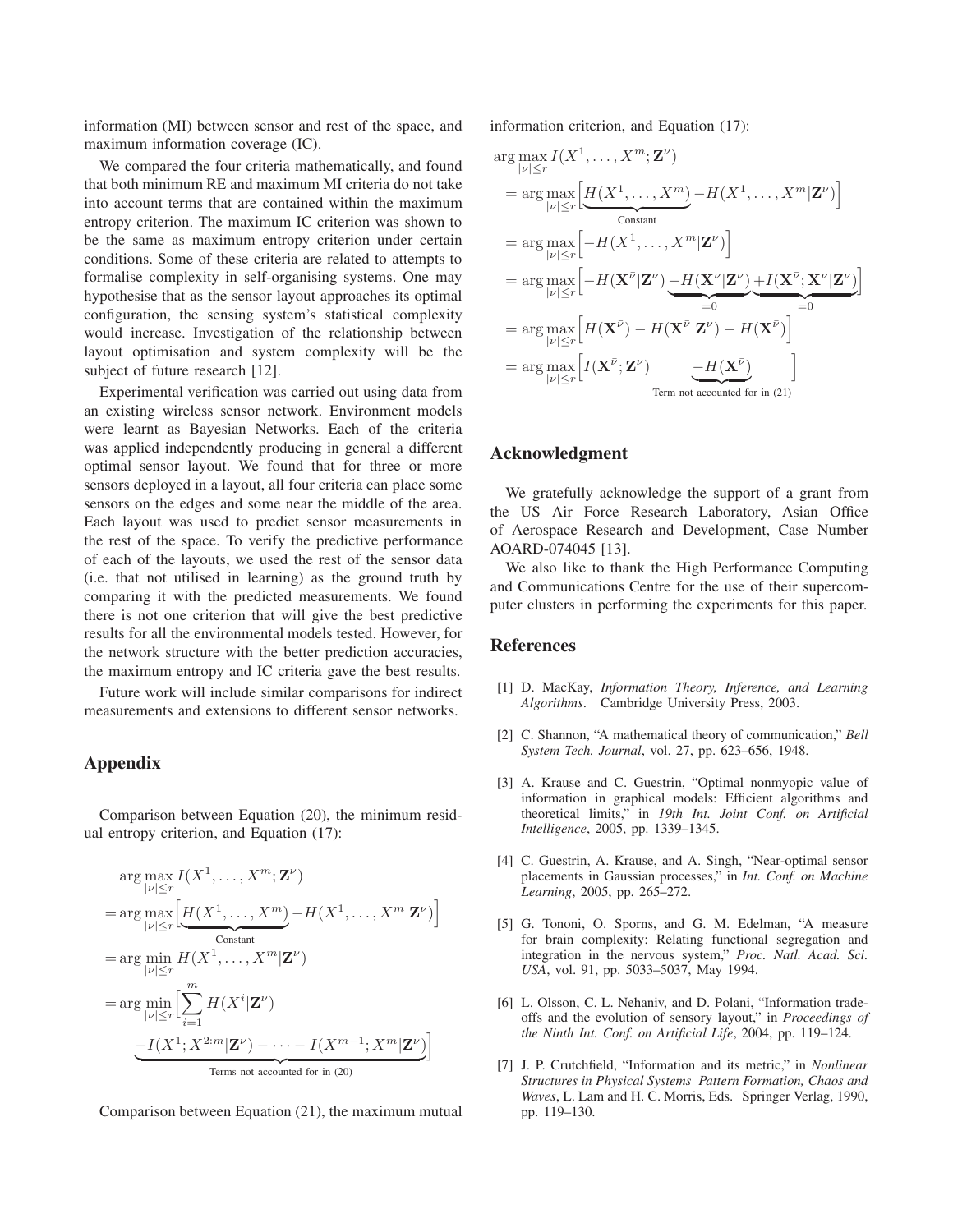information (MI) between sensor and rest of the space, and maximum information coverage (IC).

We compared the four criteria mathematically, and found that both minimum RE and maximum MI criteria do not take into account terms that are contained within the maximum entropy criterion. The maximum IC criterion was shown to be the same as maximum entropy criterion under certain conditions. Some of these criteria are related to attempts to formalise complexity in self-organising systems. One may hypothesise that as the sensor layout approaches its optimal configuration, the sensing system's statistical complexity would increase. Investigation of the relationship between layout optimisation and system complexity will be the subject of future research [12].

Experimental verification was carried out using data from an existing wireless sensor network. Environment models were learnt as Bayesian Networks. Each of the criteria was applied independently producing in general a different optimal sensor layout. We found that for three or more sensors deployed in a layout, all four criteria can place some sensors on the edges and some near the middle of the area. Each layout was used to predict sensor measurements in the rest of the space. To verify the predictive performance of each of the layouts, we used the rest of the sensor data (i.e. that not utilised in learning) as the ground truth by comparing it with the predicted measurements. We found there is not one criterion that will give the best predictive results for all the environmental models tested. However, for the network structure with the better prediction accuracies, the maximum entropy and IC criteria gave the best results.

Future work will include similar comparisons for indirect measurements and extensions to different sensor networks.

## **Appendix**

Comparison between Equation (20), the minimum residual entropy criterion, and Equation (17):

$$
\arg \max_{|\nu| \le r} I(X^1, \dots, X^m; \mathbf{Z}^{\nu})
$$
\n
$$
= \arg \max_{|\nu| \le r} \Big[ H(X^1, \dots, X^m) - H(X^1, \dots, X^m | \mathbf{Z}^{\nu}) \Big]
$$
\n
$$
= \arg \min_{|\nu| \le r} H(X^1, \dots, X^m | \mathbf{Z}^{\nu})
$$
\n
$$
= \arg \min_{|\nu| \le r} \Big[ \sum_{i=1}^m H(X^i | \mathbf{Z}^{\nu})
$$
\n
$$
-I(X^1; X^{2:m} | \mathbf{Z}^{\nu}) - \dots - I(X^{m-1}; X^m | \mathbf{Z}^{\nu}) \Big]
$$
\n
$$
= \text{terms not accounted for in (20)}
$$

Comparison between Equation (21), the maximum mutual

information criterion, and Equation (17):

$$
\arg \max_{|\nu| \le r} I(X^1, \dots, X^m; \mathbf{Z}^{\nu})
$$
\n
$$
= \arg \max_{|\nu| \le r} \Big[ H(X^1, \dots, X^m) - H(X^1, \dots, X^m | \mathbf{Z}^{\nu}) \Big]
$$
\n
$$
= \arg \max_{|\nu| \le r} \Big[ -H(X^1, \dots, X^m | \mathbf{Z}^{\nu}) \Big]
$$
\n
$$
= \arg \max_{|\nu| \le r} \Big[ -H(\mathbf{X}^{\bar{\nu}} | \mathbf{Z}^{\nu}) \underbrace{-H(\mathbf{X}^{\nu} | \mathbf{Z}^{\nu})}_{=0} + I(\mathbf{X}^{\bar{\nu}}; \mathbf{X}^{\nu} | \mathbf{Z}^{\nu}) \Big]
$$
\n
$$
= \arg \max_{|\nu| \le r} \Big[ H(\mathbf{X}^{\bar{\nu}}) - H(\mathbf{X}^{\bar{\nu}} | \mathbf{Z}^{\nu}) - H(\mathbf{X}^{\bar{\nu}}) \Big]
$$
\n
$$
= \arg \max_{|\nu| \le r} \Big[ I(\mathbf{X}^{\bar{\nu}}; \mathbf{Z}^{\nu}) \underbrace{-H(\mathbf{X}^{\bar{\nu}})}_{\text{Term not accounted for in (21)}}
$$

## **Acknowledgment**

We gratefully acknowledge the support of a grant from the US Air Force Research Laboratory, Asian Office of Aerospace Research and Development, Case Number AOARD-074045 [13].

We also like to thank the High Performance Computing and Communications Centre for the use of their supercomputer clusters in performing the experiments for this paper.

## **References**

- [1] D. MacKay, *Information Theory, Inference, and Learning Algorithms*. Cambridge University Press, 2003.
- [2] C. Shannon, "A mathematical theory of communication," *Bell System Tech. Journal*, vol. 27, pp. 623–656, 1948.
- [3] A. Krause and C. Guestrin, "Optimal nonmyopic value of information in graphical models: Efficient algorithms and theoretical limits," in *19th Int. Joint Conf. on Artificial Intelligence*, 2005, pp. 1339–1345.
- [4] C. Guestrin, A. Krause, and A. Singh, "Near-optimal sensor placements in Gaussian processes," in *Int. Conf. on Machine Learning*, 2005, pp. 265–272.
- [5] G. Tononi, O. Sporns, and G. M. Edelman, "A measure for brain complexity: Relating functional segregation and integration in the nervous system," *Proc. Natl. Acad. Sci. USA*, vol. 91, pp. 5033–5037, May 1994.
- [6] L. Olsson, C. L. Nehaniv, and D. Polani, "Information tradeoffs and the evolution of sensory layout," in *Proceedings of the Ninth Int. Conf. on Artificial Life*, 2004, pp. 119–124.
- [7] J. P. Crutchfield, "Information and its metric," in *Nonlinear Structures in Physical Systems Pattern Formation, Chaos and Waves*, L. Lam and H. C. Morris, Eds. Springer Verlag, 1990, pp. 119–130.